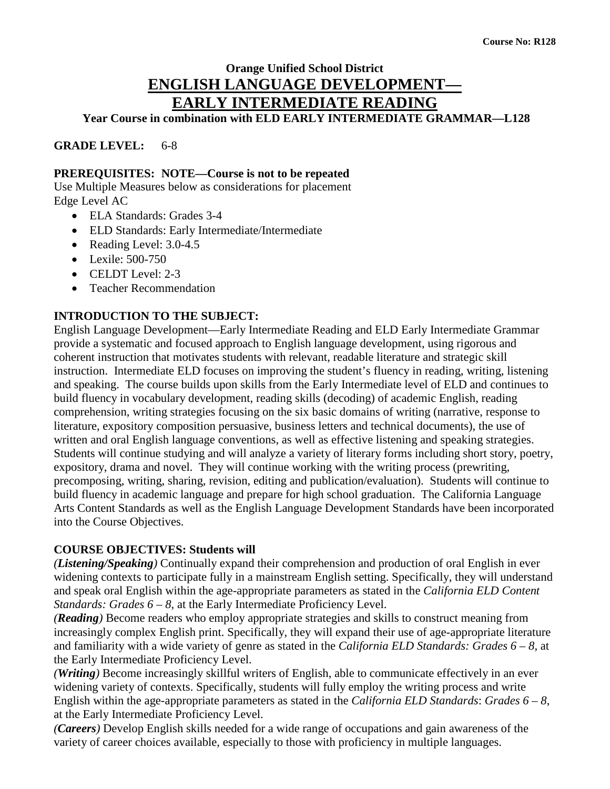# **Orange Unified School District ENGLISH LANGUAGE DEVELOPMENT— EARLY INTERMEDIATE READING**

**Year Course in combination with ELD EARLY INTERMEDIATE GRAMMAR—L128**

**GRADE LEVEL:** 6-8

#### **PREREQUISITES: NOTE—Course is not to be repeated**

Use Multiple Measures below as considerations for placement Edge Level AC

- ELA Standards: Grades 3-4
- ELD Standards: Early Intermediate/Intermediate
- Reading Level: 3.0-4.5
- Lexile: 500-750
- CELDT Level: 2-3
- Teacher Recommendation

#### **INTRODUCTION TO THE SUBJECT:**

English Language Development—Early Intermediate Reading and ELD Early Intermediate Grammar provide a systematic and focused approach to English language development, using rigorous and coherent instruction that motivates students with relevant, readable literature and strategic skill instruction. Intermediate ELD focuses on improving the student's fluency in reading, writing, listening and speaking. The course builds upon skills from the Early Intermediate level of ELD and continues to build fluency in vocabulary development, reading skills (decoding) of academic English, reading comprehension, writing strategies focusing on the six basic domains of writing (narrative, response to literature, expository composition persuasive, business letters and technical documents), the use of written and oral English language conventions, as well as effective listening and speaking strategies. Students will continue studying and will analyze a variety of literary forms including short story, poetry, expository, drama and novel. They will continue working with the writing process (prewriting, precomposing, writing, sharing, revision, editing and publication/evaluation). Students will continue to build fluency in academic language and prepare for high school graduation. The California Language Arts Content Standards as well as the English Language Development Standards have been incorporated into the Course Objectives.

#### **COURSE OBJECTIVES: Students will**

*(Listening/Speaking)* Continually expand their comprehension and production of oral English in ever widening contexts to participate fully in a mainstream English setting. Specifically, they will understand and speak oral English within the age-appropriate parameters as stated in the *California ELD Content Standards: Grades 6 – 8, at the Early Intermediate Proficiency Level.* 

*(Reading)* Become readers who employ appropriate strategies and skills to construct meaning from increasingly complex English print. Specifically, they will expand their use of age-appropriate literature and familiarity with a wide variety of genre as stated in the *California ELD Standards: Grades 6 – 8,* at the Early Intermediate Proficiency Level.

*(Writing)* Become increasingly skillful writers of English, able to communicate effectively in an ever widening variety of contexts. Specifically, students will fully employ the writing process and write English within the age-appropriate parameters as stated in the *California ELD Standards*: *Grades 6 – 8*, at the Early Intermediate Proficiency Level.

*(Careers)* Develop English skills needed for a wide range of occupations and gain awareness of the variety of career choices available, especially to those with proficiency in multiple languages.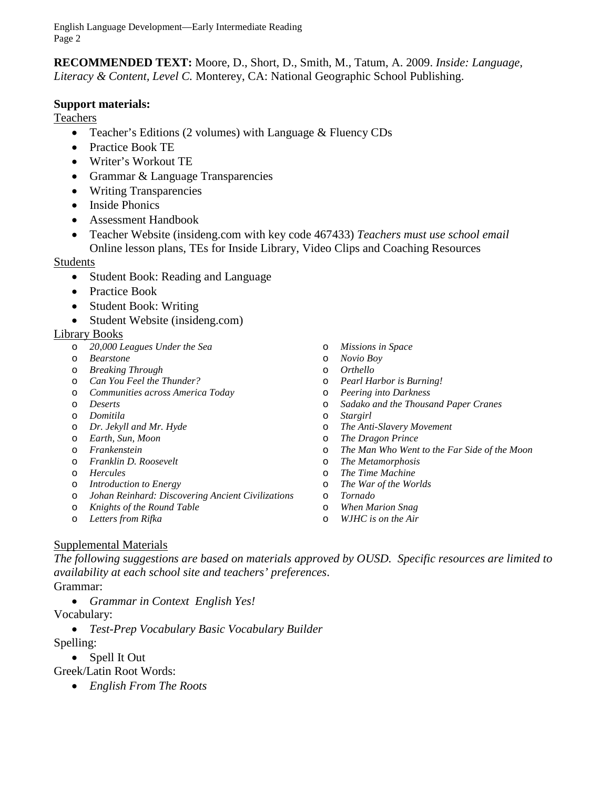English Language Development—Early Intermediate Reading Page 2

**RECOMMENDED TEXT:** Moore, D., Short, D., Smith, M., Tatum, A. 2009. *Inside: Language, Literacy & Content, Level C.* Monterey, CA: National Geographic School Publishing.

#### **Support materials:**

Teachers

- Teacher's Editions (2 volumes) with Language & Fluency CDs
- Practice Book TE
- Writer's Workout TE
- Grammar & Language Transparencies
- Writing Transparencies
- Inside Phonics
- Assessment Handbook
- Teacher Website (insideng.com with key code 467433) *Teachers must use school email* Online lesson plans, TEs for Inside Library, Video Clips and Coaching Resources

#### **Students**

- Student Book: Reading and Language
- Practice Book
- Student Book: Writing
- Student Website (insideng.com)

#### Library Books

- o *20,000 Leagues Under the Sea*
- o *Bearstone*
- o *Breaking Through*
- o *Can You Feel the Thunder?*
- o *Communities across America Today*
- o *Deserts*
- o *Domitila*
- o *Dr. Jekyll and Mr. Hyde*
- o *Earth, Sun, Moon*
- o *Frankenstein*
- o *Franklin D. Roosevelt*
- o *Hercules*
- o *Introduction to Energy*
- o *Johan Reinhard: Discovering Ancient Civilizations*
- o *Knights of the Round Table*
- o *Letters from Rifka*
- o *Missions in Space*
- o *Novio Boy*
- o *Orthello*
- o *Pearl Harbor is Burning!*
- o *Peering into Darkness*
- o *Sadako and the Thousand Paper Cranes*
- Stargirl
- o *The Anti-Slavery Movement*
- o *The Dragon Prince*
- o *The Man Who Went to the Far Side of the Moon*
- o *The Metamorphosis*
- o *The Time Machine*
- o *The War of the Worlds*
- o *Tornado*
- o *When Marion Snag*
- o *WJHC is on the Air*

#### Supplemental Materials

*The following suggestions are based on materials approved by OUSD. Specific resources are limited to availability at each school site and teachers' preferences*.

#### Grammar:

• *Grammar in Context English Yes!*

Vocabulary:

• *Test-Prep Vocabulary Basic Vocabulary Builder*

Spelling:

- Spell It Out
- Greek/Latin Root Words:
	- *English From The Roots*
- 
- 
-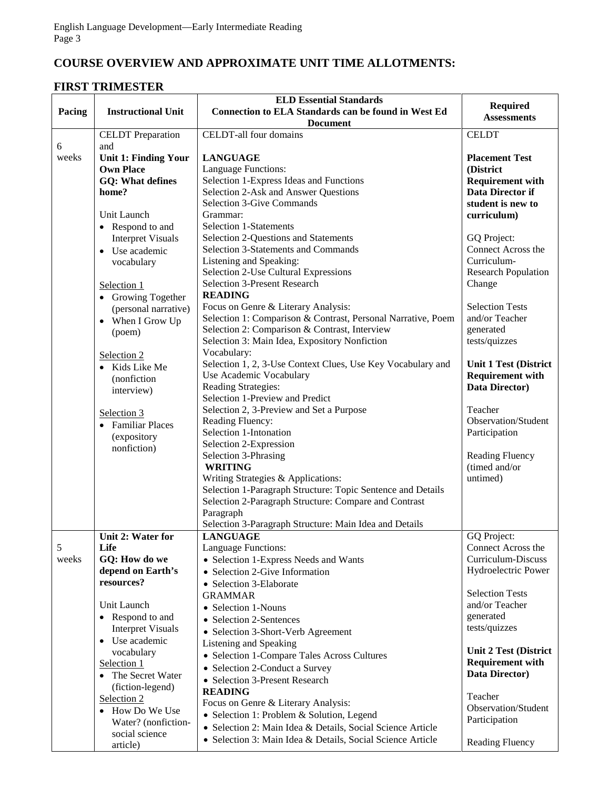# **COURSE OVERVIEW AND APPROXIMATE UNIT TIME ALLOTMENTS:**

### **FIRST TRIMESTER**

|               |                                                 | <b>ELD Essential Standards</b>                               | <b>Required</b>                    |
|---------------|-------------------------------------------------|--------------------------------------------------------------|------------------------------------|
| Pacing        | <b>Instructional Unit</b>                       | <b>Connection to ELA Standards can be found in West Ed</b>   | <b>Assessments</b>                 |
|               |                                                 | <b>Document</b>                                              |                                    |
|               | <b>CELDT</b> Preparation                        | <b>CELDT-all four domains</b>                                | <b>CELDT</b>                       |
| 6             | and                                             |                                                              |                                    |
| weeks         | <b>Unit 1: Finding Your</b><br><b>Own Place</b> | <b>LANGUAGE</b><br>Language Functions:                       | <b>Placement Test</b><br>(District |
|               | <b>GQ: What defines</b>                         | Selection 1-Express Ideas and Functions                      | <b>Requirement with</b>            |
|               | home?                                           | Selection 2-Ask and Answer Questions                         | <b>Data Director if</b>            |
|               |                                                 | <b>Selection 3-Give Commands</b>                             | student is new to                  |
|               | Unit Launch                                     | Grammar:                                                     | curriculum)                        |
|               | • Respond to and                                | <b>Selection 1-Statements</b>                                |                                    |
|               | <b>Interpret Visuals</b>                        | Selection 2-Questions and Statements                         | GQ Project:                        |
|               | • Use academic                                  | Selection 3-Statements and Commands                          | Connect Across the                 |
|               | vocabulary                                      | Listening and Speaking:                                      | Curriculum-                        |
|               |                                                 | Selection 2-Use Cultural Expressions                         | <b>Research Population</b>         |
|               | Selection 1                                     | <b>Selection 3-Present Research</b>                          | Change                             |
|               | • Growing Together                              | <b>READING</b>                                               |                                    |
|               | (personal narrative)                            | Focus on Genre & Literary Analysis:                          | <b>Selection Tests</b>             |
|               | • When I Grow Up                                | Selection 1: Comparison & Contrast, Personal Narrative, Poem | and/or Teacher                     |
|               | (poem)                                          | Selection 2: Comparison & Contrast, Interview                | generated                          |
|               |                                                 | Selection 3: Main Idea, Expository Nonfiction<br>Vocabulary: | tests/quizzes                      |
|               | Selection 2                                     | Selection 1, 2, 3-Use Context Clues, Use Key Vocabulary and  | <b>Unit 1 Test (District</b>       |
|               | Kids Like Me<br>$\bullet$<br>(nonfiction        | Use Academic Vocabulary                                      | <b>Requirement with</b>            |
|               | interview)                                      | Reading Strategies:                                          | Data Director)                     |
|               |                                                 | Selection 1-Preview and Predict                              |                                    |
|               | Selection 3                                     | Selection 2, 3-Preview and Set a Purpose                     | Teacher                            |
|               | • Familiar Places                               | Reading Fluency:                                             | Observation/Student                |
|               | (expository                                     | Selection 1-Intonation                                       | Participation                      |
|               | nonfiction)                                     | Selection 2-Expression                                       |                                    |
|               |                                                 | Selection 3-Phrasing<br><b>WRITING</b>                       | Reading Fluency<br>(timed and/or   |
|               |                                                 | Writing Strategies & Applications:                           | untimed)                           |
|               |                                                 | Selection 1-Paragraph Structure: Topic Sentence and Details  |                                    |
|               |                                                 | Selection 2-Paragraph Structure: Compare and Contrast        |                                    |
|               |                                                 | Paragraph                                                    |                                    |
|               |                                                 | Selection 3-Paragraph Structure: Main Idea and Details       |                                    |
|               | Unit 2: Water for                               | <b>LANGUAGE</b>                                              | GQ Project:                        |
| $\mathfrak s$ | Life                                            | Language Functions:                                          | Connect Across the                 |
| weeks         | GQ: How do we                                   | • Selection 1-Express Needs and Wants                        | Curriculum-Discuss                 |
|               | depend on Earth's<br>resources?                 | • Selection 2-Give Information                               | Hydroelectric Power                |
|               |                                                 | • Selection 3-Elaborate                                      | <b>Selection Tests</b>             |
|               | Unit Launch                                     | <b>GRAMMAR</b><br>• Selection 1-Nouns                        | and/or Teacher                     |
|               | • Respond to and                                | • Selection 2-Sentences                                      | generated                          |
|               | <b>Interpret Visuals</b>                        | • Selection 3-Short-Verb Agreement                           | tests/quizzes                      |
|               | • Use academic                                  | Listening and Speaking                                       |                                    |
|               | vocabulary                                      | • Selection 1-Compare Tales Across Cultures                  | <b>Unit 2 Test (District</b>       |
|               | Selection 1                                     | • Selection 2-Conduct a Survey                               | <b>Requirement with</b>            |
|               | The Secret Water                                | • Selection 3-Present Research                               | Data Director)                     |
|               | (fiction-legend)                                | <b>READING</b>                                               | Teacher                            |
|               | Selection 2                                     | Focus on Genre & Literary Analysis:                          | Observation/Student                |
|               | • How Do We Use                                 | • Selection 1: Problem & Solution, Legend                    | Participation                      |
|               | Water? (nonfiction-<br>social science           | · Selection 2: Main Idea & Details, Social Science Article   |                                    |
|               | article)                                        | · Selection 3: Main Idea & Details, Social Science Article   | Reading Fluency                    |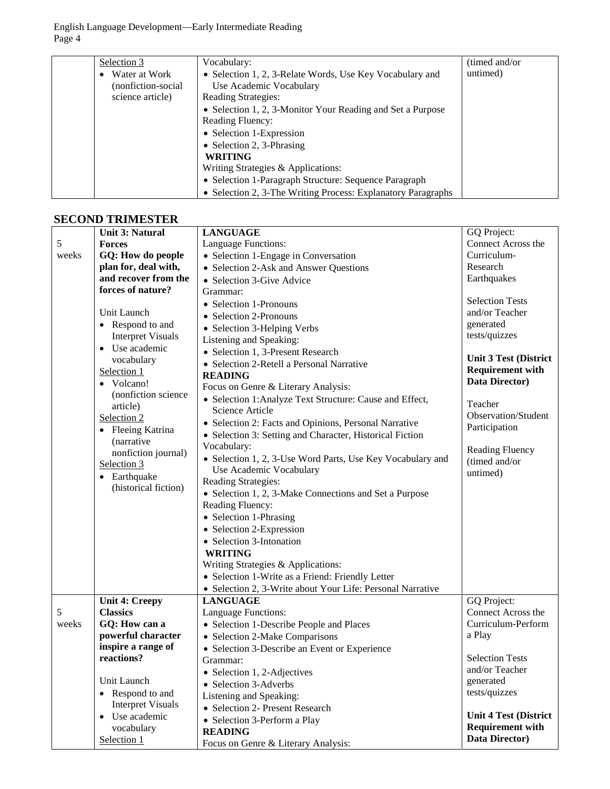English Language Development—Early Intermediate Reading Page 4

| Selection 3                | Vocabulary:                                                  | (timed and/or) |
|----------------------------|--------------------------------------------------------------|----------------|
| Water at Work<br>$\bullet$ | • Selection 1, 2, 3-Relate Words, Use Key Vocabulary and     | untimed)       |
| (nonfiction-social)        | Use Academic Vocabulary                                      |                |
| science article)           | Reading Strategies:                                          |                |
|                            | • Selection 1, 2, 3-Monitor Your Reading and Set a Purpose   |                |
|                            | Reading Fluency:                                             |                |
|                            | • Selection 1-Expression                                     |                |
|                            | • Selection 2, 3-Phrasing                                    |                |
|                            | <b>WRITING</b>                                               |                |
|                            | Writing Strategies & Applications:                           |                |
|                            | • Selection 1-Paragraph Structure: Sequence Paragraph        |                |
|                            | • Selection 2, 3-The Writing Process: Explanatory Paragraphs |                |

#### **SECOND TRIMESTER**

|       | <b>Unit 3: Natural</b>       | <b>LANGUAGE</b>                                            | GQ Project:                  |
|-------|------------------------------|------------------------------------------------------------|------------------------------|
| 5     | <b>Forces</b>                | Language Functions:                                        | Connect Across the           |
| weeks | GQ: How do people            | • Selection 1-Engage in Conversation                       | Curriculum-                  |
|       | plan for, deal with,         | • Selection 2-Ask and Answer Questions                     | Research                     |
|       | and recover from the         | • Selection 3-Give Advice                                  | Earthquakes                  |
|       | forces of nature?            | Grammar:                                                   |                              |
|       |                              | • Selection 1-Pronouns                                     | <b>Selection Tests</b>       |
|       | Unit Launch                  | • Selection 2-Pronouns                                     | and/or Teacher               |
|       | • Respond to and             | • Selection 3-Helping Verbs                                | generated                    |
|       | <b>Interpret Visuals</b>     | Listening and Speaking:                                    | tests/quizzes                |
|       | • Use academic               | • Selection 1, 3-Present Research                          |                              |
|       | vocabulary                   | • Selection 2-Retell a Personal Narrative                  | <b>Unit 3 Test (District</b> |
|       | Selection 1                  | <b>READING</b>                                             | <b>Requirement with</b>      |
|       | Volcano!<br>$\bullet$        | Focus on Genre & Literary Analysis:                        | Data Director)               |
|       | (nonfiction science          | • Selection 1: Analyze Text Structure: Cause and Effect,   | Teacher                      |
|       | article)                     | Science Article                                            | Observation/Student          |
|       | Selection 2                  | • Selection 2: Facts and Opinions, Personal Narrative      | Participation                |
|       | Fleeing Katrina<br>$\bullet$ | • Selection 3: Setting and Character, Historical Fiction   |                              |
|       | (narrative                   | Vocabulary:                                                | <b>Reading Fluency</b>       |
|       | nonfiction journal)          | • Selection 1, 2, 3-Use Word Parts, Use Key Vocabulary and | (timed and/or                |
|       | Selection 3                  | Use Academic Vocabulary                                    | untimed)                     |
|       | Earthquake<br>$\bullet$      | Reading Strategies:                                        |                              |
|       | (historical fiction)         | • Selection 1, 2, 3-Make Connections and Set a Purpose     |                              |
|       |                              | Reading Fluency:                                           |                              |
|       |                              | • Selection 1-Phrasing                                     |                              |
|       |                              | • Selection 2-Expression                                   |                              |
|       |                              | • Selection 3-Intonation                                   |                              |
|       |                              | <b>WRITING</b>                                             |                              |
|       |                              | Writing Strategies & Applications:                         |                              |
|       |                              | • Selection 1-Write as a Friend: Friendly Letter           |                              |
|       |                              | • Selection 2, 3-Write about Your Life: Personal Narrative |                              |
|       | <b>Unit 4: Creepy</b>        | <b>LANGUAGE</b>                                            | GQ Project:                  |
| 5     | <b>Classics</b>              | Language Functions:                                        | Connect Across the           |
| weeks | GQ: How can a                | • Selection 1-Describe People and Places                   | Curriculum-Perform           |
|       | powerful character           | • Selection 2-Make Comparisons                             | a Play                       |
|       | inspire a range of           | • Selection 3-Describe an Event or Experience              |                              |
|       | reactions?                   | Grammar:                                                   | <b>Selection Tests</b>       |
|       |                              | Selection 1, 2-Adjectives                                  | and/or Teacher               |
|       | Unit Launch                  | • Selection 3-Adverbs                                      | generated                    |
|       | Respond to and<br>$\bullet$  | Listening and Speaking:                                    | tests/quizzes                |
|       | <b>Interpret Visuals</b>     | • Selection 2- Present Research                            |                              |
|       | Use academic<br>$\bullet$    | • Selection 3-Perform a Play                               | <b>Unit 4 Test (District</b> |
|       | vocabulary                   | <b>READING</b>                                             | <b>Requirement with</b>      |
|       | Selection 1                  | Focus on Genre & Literary Analysis:                        | Data Director)               |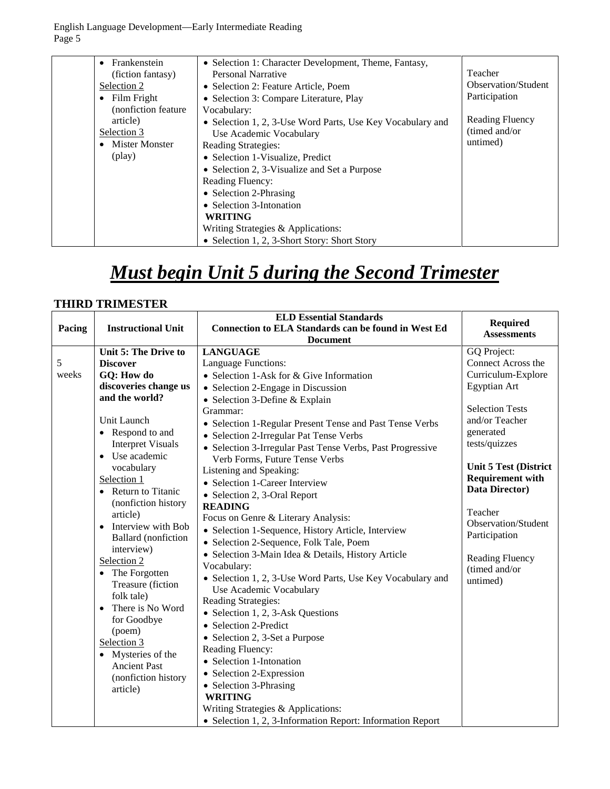English Language Development—Early Intermediate Reading Page 5

| Frankenstein<br>$\bullet$ | • Selection 1: Character Development, Theme, Fantasy,      |                            |
|---------------------------|------------------------------------------------------------|----------------------------|
| (fiction fantasy)         | Personal Narrative                                         | Teacher                    |
| Selection 2               | • Selection 2: Feature Article, Poem                       | <b>Observation/Student</b> |
| Film Fright<br>$\bullet$  | • Selection 3: Compare Literature, Play                    | Participation              |
| (nonfiction feature)      | Vocabulary:                                                |                            |
| article)                  | • Selection 1, 2, 3-Use Word Parts, Use Key Vocabulary and | Reading Fluency            |
| Selection 3               | Use Academic Vocabulary                                    | (timed and/or              |
| <b>Mister Monster</b>     | <b>Reading Strategies:</b>                                 | untimed)                   |
| (play)                    | • Selection 1-Visualize, Predict                           |                            |
|                           | • Selection 2, 3-Visualize and Set a Purpose               |                            |
|                           | <b>Reading Fluency:</b>                                    |                            |
|                           | • Selection 2-Phrasing                                     |                            |
|                           | • Selection 3-Intonation                                   |                            |
|                           | <b>WRITING</b>                                             |                            |
|                           | Writing Strategies & Applications:                         |                            |
|                           | • Selection 1, 2, 3-Short Story: Short Story               |                            |

# *Must begin Unit 5 during the Second Trimester*

#### **THIRD TRIMESTER**

|                                                                                                                                                                                                                                                                                                                                                                                                                                                                                                                                                                          | <b>ELD Essential Standards</b>                                                                                                                                                                                                                                                                                                                                                                                                                                                                                                                                                                                                                                                                                                                                                                                                                                                                                                                                                                                                                                                          | <b>Required</b>                                                                                                                                                                                                                                                                                                                          |
|--------------------------------------------------------------------------------------------------------------------------------------------------------------------------------------------------------------------------------------------------------------------------------------------------------------------------------------------------------------------------------------------------------------------------------------------------------------------------------------------------------------------------------------------------------------------------|-----------------------------------------------------------------------------------------------------------------------------------------------------------------------------------------------------------------------------------------------------------------------------------------------------------------------------------------------------------------------------------------------------------------------------------------------------------------------------------------------------------------------------------------------------------------------------------------------------------------------------------------------------------------------------------------------------------------------------------------------------------------------------------------------------------------------------------------------------------------------------------------------------------------------------------------------------------------------------------------------------------------------------------------------------------------------------------------|------------------------------------------------------------------------------------------------------------------------------------------------------------------------------------------------------------------------------------------------------------------------------------------------------------------------------------------|
| <b>Instructional Unit</b>                                                                                                                                                                                                                                                                                                                                                                                                                                                                                                                                                | <b>Connection to ELA Standards can be found in West Ed</b>                                                                                                                                                                                                                                                                                                                                                                                                                                                                                                                                                                                                                                                                                                                                                                                                                                                                                                                                                                                                                              | <b>Assessments</b>                                                                                                                                                                                                                                                                                                                       |
|                                                                                                                                                                                                                                                                                                                                                                                                                                                                                                                                                                          | <b>Document</b>                                                                                                                                                                                                                                                                                                                                                                                                                                                                                                                                                                                                                                                                                                                                                                                                                                                                                                                                                                                                                                                                         |                                                                                                                                                                                                                                                                                                                                          |
| Unit 5: The Drive to<br><b>Discover</b><br>GQ: How do<br>discoveries change us<br>and the world?<br>Unit Launch<br>• Respond to and<br><b>Interpret Visuals</b><br>• Use academic<br>vocabulary<br>Selection 1<br>• Return to Titanic<br>(nonfiction history<br>article)<br>Interview with Bob<br><b>Ballard</b> (nonfiction<br>interview)<br>Selection 2<br>• The Forgotten<br>Treasure (fiction<br>folk tale)<br>There is No Word<br>$\bullet$<br>for Goodbye<br>(poem)<br>Selection 3<br>• Mysteries of the<br><b>Ancient Past</b><br>(nonfiction history<br>article) | <b>LANGUAGE</b><br>Language Functions:<br>• Selection 1-Ask for & Give Information<br>• Selection 2-Engage in Discussion<br>• Selection 3-Define & Explain<br>Grammar:<br>• Selection 1-Regular Present Tense and Past Tense Verbs<br>• Selection 2-Irregular Pat Tense Verbs<br>• Selection 3-Irregular Past Tense Verbs, Past Progressive<br>Verb Forms, Future Tense Verbs<br>Listening and Speaking:<br>• Selection 1-Career Interview<br>• Selection 2, 3-Oral Report<br><b>READING</b><br>Focus on Genre & Literary Analysis:<br>• Selection 1-Sequence, History Article, Interview<br>• Selection 2-Sequence, Folk Tale, Poem<br>· Selection 3-Main Idea & Details, History Article<br>Vocabulary:<br>• Selection 1, 2, 3-Use Word Parts, Use Key Vocabulary and<br>Use Academic Vocabulary<br>Reading Strategies:<br>• Selection 1, 2, 3-Ask Questions<br>• Selection 2-Predict<br>• Selection 2, 3-Set a Purpose<br>Reading Fluency:<br>• Selection 1-Intonation<br>• Selection 2-Expression<br>• Selection 3-Phrasing<br><b>WRITING</b><br>Writing Strategies & Applications: | GQ Project:<br>Connect Across the<br>Curriculum-Explore<br>Egyptian Art<br><b>Selection Tests</b><br>and/or Teacher<br>generated<br>tests/quizzes<br><b>Unit 5 Test (District</b><br><b>Requirement with</b><br>Data Director)<br>Teacher<br>Observation/Student<br>Participation<br><b>Reading Fluency</b><br>(timed and/or<br>untimed) |
|                                                                                                                                                                                                                                                                                                                                                                                                                                                                                                                                                                          |                                                                                                                                                                                                                                                                                                                                                                                                                                                                                                                                                                                                                                                                                                                                                                                                                                                                                                                                                                                                                                                                                         | • Selection 1, 2, 3-Information Report: Information Report                                                                                                                                                                                                                                                                               |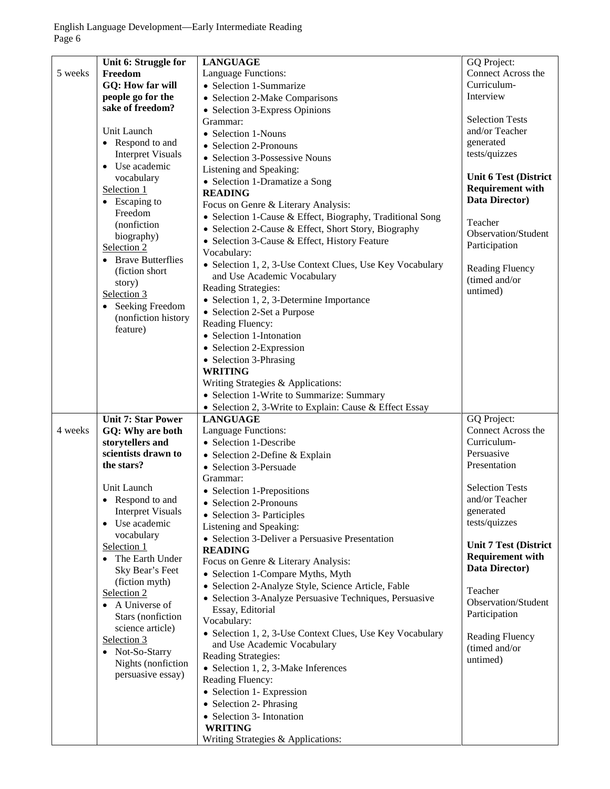|         | Unit 6: Struggle for      | <b>LANGUAGE</b>                                           | GQ Project:                  |
|---------|---------------------------|-----------------------------------------------------------|------------------------------|
| 5 weeks | Freedom                   | Language Functions:                                       | Connect Across the           |
|         | <b>GQ: How far will</b>   | • Selection 1-Summarize                                   | Curriculum-                  |
|         | people go for the         | • Selection 2-Make Comparisons                            | Interview                    |
|         | sake of freedom?          | • Selection 3-Express Opinions                            |                              |
|         |                           | Grammar:                                                  | <b>Selection Tests</b>       |
|         | Unit Launch               |                                                           | and/or Teacher               |
|         | • Respond to and          | • Selection 1-Nouns                                       | generated                    |
|         |                           | • Selection 2-Pronouns                                    |                              |
|         | <b>Interpret Visuals</b>  | • Selection 3-Possessive Nouns                            | tests/quizzes                |
|         | Use academic              | Listening and Speaking:                                   |                              |
|         | vocabulary                | • Selection 1-Dramatize a Song                            | <b>Unit 6 Test (District</b> |
|         | Selection 1               | <b>READING</b>                                            | <b>Requirement with</b>      |
|         | • Escaping to             | Focus on Genre & Literary Analysis:                       | Data Director)               |
|         | Freedom                   |                                                           |                              |
|         | (nonfiction               | • Selection 1-Cause & Effect, Biography, Traditional Song | Teacher                      |
|         | biography)                | • Selection 2-Cause & Effect, Short Story, Biography      | Observation/Student          |
|         | Selection 2               | • Selection 3-Cause & Effect, History Feature             | Participation                |
|         |                           | Vocabulary:                                               |                              |
|         | • Brave Butterflies       | • Selection 1, 2, 3-Use Context Clues, Use Key Vocabulary | <b>Reading Fluency</b>       |
|         | (fiction short)           | and Use Academic Vocabulary                               |                              |
|         | story)                    | <b>Reading Strategies:</b>                                | (timed and/or                |
|         | Selection 3               |                                                           | untimed)                     |
|         | • Seeking Freedom         | • Selection 1, 2, 3-Determine Importance                  |                              |
|         | (nonfiction history       | • Selection 2-Set a Purpose                               |                              |
|         | feature)                  | Reading Fluency:                                          |                              |
|         |                           | • Selection 1-Intonation                                  |                              |
|         |                           | • Selection 2-Expression                                  |                              |
|         |                           | • Selection 3-Phrasing                                    |                              |
|         |                           | <b>WRITING</b>                                            |                              |
|         |                           | Writing Strategies & Applications:                        |                              |
|         |                           |                                                           |                              |
|         |                           | • Selection 1-Write to Summarize: Summary                 |                              |
|         |                           | • Selection 2, 3-Write to Explain: Cause & Effect Essay   |                              |
|         | <b>Unit 7: Star Power</b> | <b>LANGUAGE</b>                                           | GQ Project:                  |
| 4 weeks | GQ: Why are both          | Language Functions:                                       | Connect Across the           |
|         | storytellers and          | • Selection 1-Describe                                    | Curriculum-                  |
|         | scientists drawn to       | • Selection 2-Define & Explain                            | Persuasive                   |
|         | the stars?                | • Selection 3-Persuade                                    | Presentation                 |
|         |                           | Grammar:                                                  |                              |
|         | Unit Launch               |                                                           | <b>Selection Tests</b>       |
|         | Respond to and            | • Selection 1-Prepositions                                | and/or Teacher               |
|         |                           | • Selection 2-Pronouns                                    |                              |
|         | <b>Interpret Visuals</b>  | • Selection 3- Participles                                | generated                    |
|         | • Use academic            | Listening and Speaking:                                   | tests/quizzes                |
|         | vocabulary                | • Selection 3-Deliver a Persuasive Presentation           |                              |
|         | Selection 1               | <b>READING</b>                                            | <b>Unit 7 Test (District</b> |
|         | • The Earth Under         | Focus on Genre & Literary Analysis:                       | <b>Requirement with</b>      |
|         | Sky Bear's Feet           | • Selection 1-Compare Myths, Myth                         | Data Director)               |
|         | (fiction myth)            | · Selection 2-Analyze Style, Science Article, Fable       |                              |
|         | Selection 2               |                                                           | Teacher                      |
|         | • A Universe of           | • Selection 3-Analyze Persuasive Techniques, Persuasive   | Observation/Student          |
|         | Stars (nonfiction         | Essay, Editorial                                          | Participation                |
|         | science article)          | Vocabulary:                                               |                              |
|         |                           | • Selection 1, 2, 3-Use Context Clues, Use Key Vocabulary | Reading Fluency              |
|         | Selection 3               | and Use Academic Vocabulary                               | (timed and/or                |
|         | • Not-So-Starry           | Reading Strategies:                                       | untimed)                     |
|         | Nights (nonfiction        | • Selection 1, 2, 3-Make Inferences                       |                              |
|         | persuasive essay)         | Reading Fluency:                                          |                              |
|         |                           | • Selection 1- Expression                                 |                              |
|         |                           |                                                           |                              |
|         |                           | • Selection 2- Phrasing                                   |                              |
|         |                           | • Selection 3- Intonation                                 |                              |
|         |                           | <b>WRITING</b>                                            |                              |
|         |                           | Writing Strategies & Applications:                        |                              |